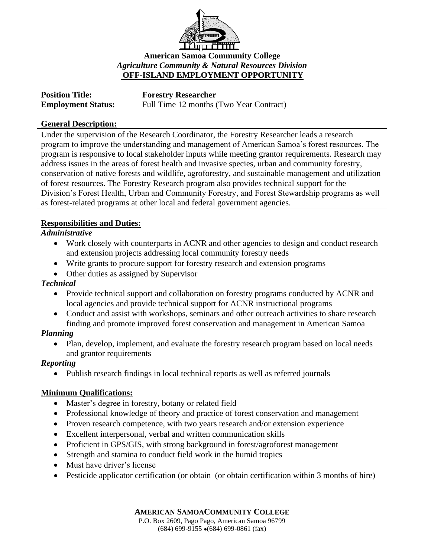

## **American Samoa Community College** *Agriculture Community & Natural Resources Division* **OFF-ISLAND EMPLOYMENT OPPORTUNITY**

| <b>Position Title:</b>    | <b>Forestry Researcher</b>              |
|---------------------------|-----------------------------------------|
| <b>Employment Status:</b> | Full Time 12 months (Two Year Contract) |

#### **General Description:**

Under the supervision of the Research Coordinator, the Forestry Researcher leads a research program to improve the understanding and management of American Samoa's forest resources. The program is responsive to local stakeholder inputs while meeting grantor requirements. Research may address issues in the areas of forest health and invasive species, urban and community forestry, conservation of native forests and wildlife, agroforestry, and sustainable management and utilization of forest resources. The Forestry Research program also provides technical support for the Division's Forest Health, Urban and Community Forestry, and Forest Stewardship programs as well as forest-related programs at other local and federal government agencies.

### **Responsibilities and Duties:**

### *Administrative*

- Work closely with counterparts in ACNR and other agencies to design and conduct research and extension projects addressing local community forestry needs
- Write grants to procure support for forestry research and extension programs
- Other duties as assigned by Supervisor

### *Technical*

- Provide technical support and collaboration on forestry programs conducted by ACNR and local agencies and provide technical support for ACNR instructional programs
- Conduct and assist with workshops, seminars and other outreach activities to share research finding and promote improved forest conservation and management in American Samoa

### *Planning*

• Plan, develop, implement, and evaluate the forestry research program based on local needs and grantor requirements

### *Reporting*

• Publish research findings in local technical reports as well as referred journals

# **Minimum Qualifications:**

- Master's degree in forestry, botany or related field
- Professional knowledge of theory and practice of forest conservation and management
- Proven research competence, with two years research and/or extension experience
- Excellent interpersonal, verbal and written communication skills
- Proficient in GPS/GIS, with strong background in forest/agroforest management
- Strength and stamina to conduct field work in the humid tropics
- Must have driver's license
- Pesticide applicator certification (or obtain (or obtain certification within 3 months of hire)